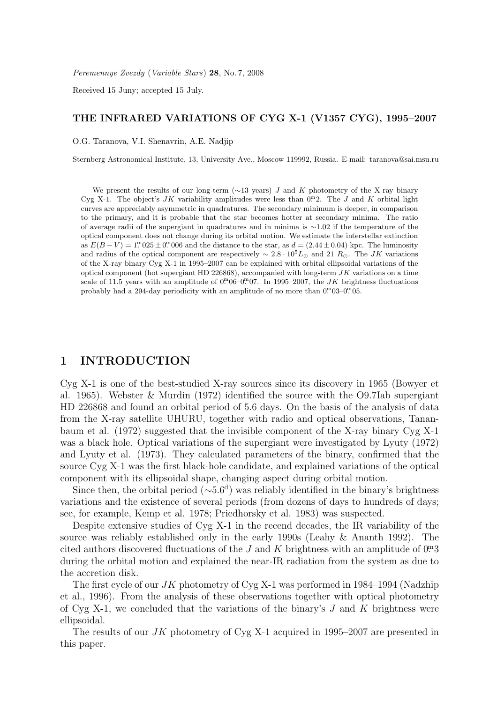Peremennye Zvezdy (Variable Stars) 28, No. 7, 2008

Received 15 Juny; accepted 15 July.

### THE INFRARED VARIATIONS OF CYG X-1 (V1357 CYG), 1995–2007

O.G. Taranova, V.I. Shenavrin, A.E. Nadjip

Sternberg Astronomical Institute, 13, University Ave., Moscow 119992, Russia. E-mail: taranova@sai.msu.ru

We present the results of our long-term (∼13 years) J and K photometry of the X-ray binary Cyg X-1. The object's JK variability amplitudes were less than  $0<sup>m</sup>2$ . The J and K orbital light curves are appreciably asymmetric in quadratures. The secondary minimum is deeper, in comparison to the primary, and it is probable that the star becomes hotter at secondary minima. The ratio of average radii of the supergiant in quadratures and in minima is ∼1.02 if the temperature of the optical component does not change during its orbital motion. We estimate the interstellar extinction as  $E(B-V) = 1^{m}025 \pm 0^{m}006$  and the distance to the star, as  $d = (2.44 \pm 0.04)$  kpc. The luminosity and radius of the optical component are respectively  $\sim 2.8 \cdot 10^5 L_{\odot}$  and 21  $R_{\odot}$ . The JK variations of the X-ray binary Cyg X-1 in 1995–2007 can be explained with orbital ellipsoidal variations of the optical component (hot supergiant HD 226868), accompanied with long-term  $JK$  variations on a time scale of 11.5 years with an amplitude of  $0^{\text{m}}06-0^{\text{m}}07$ . In 1995–2007, the JK brightness fluctuations probably had a 294-day periodicity with an amplitude of no more than  $0^{\text{m}}$  $03-0^{\text{m}}$  $05$ .

# 1 INTRODUCTION

Cyg X-1 is one of the best-studied X-ray sources since its discovery in 1965 (Bowyer et al. 1965). Webster & Murdin (1972) identified the source with the O9.7Iab supergiant HD 226868 and found an orbital period of 5.6 days. On the basis of the analysis of data from the X-ray satellite UHURU, together with radio and optical observations, Tananbaum et al. (1972) suggested that the invisible component of the X-ray binary Cyg X-1 was a black hole. Optical variations of the supergiant were investigated by Lyuty (1972) and Lyuty et al. (1973). They calculated parameters of the binary, confirmed that the source Cyg X-1 was the first black-hole candidate, and explained variations of the optical component with its ellipsoidal shape, changing aspect during orbital motion.

Since then, the orbital period ( $\sim 5.6<sup>d</sup>$ ) was reliably identified in the binary's brightness variations and the existence of several periods (from dozens of days to hundreds of days; see, for example, Kemp et al. 1978; Priedhorsky et al. 1983) was suspected.

Despite extensive studies of Cyg X-1 in the recend decades, the IR variability of the source was reliably established only in the early 1990s (Leahy & Ananth 1992). The cited authors discovered fluctuations of the J and K brightness with an amplitude of  $0<sup>m</sup>3$ during the orbital motion and explained the near-IR radiation from the system as due to the accretion disk.

The first cycle of our  $JK$  photometry of Cyg X-1 was performed in 1984–1994 (Nadzhip et al., 1996). From the analysis of these observations together with optical photometry of Cyg X-1, we concluded that the variations of the binary's  $J$  and  $K$  brightness were ellipsoidal.

The results of our JK photometry of Cyg X-1 acquired in 1995–2007 are presented in this paper.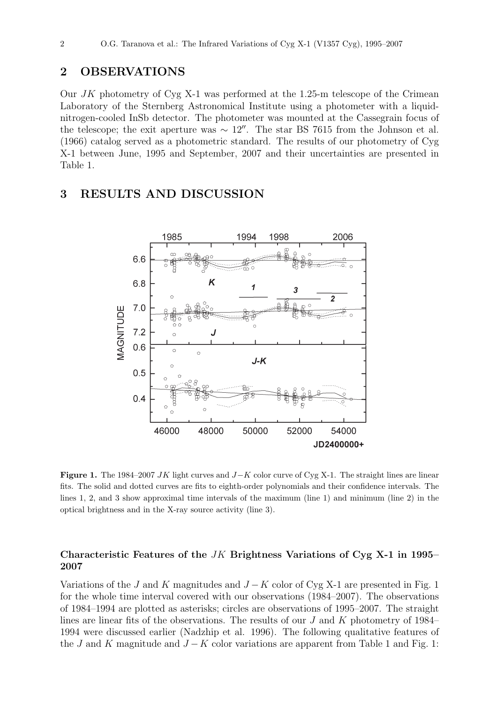# 2 OBSERVATIONS

Our JK photometry of Cyg X-1 was performed at the 1.25-m telescope of the Crimean Laboratory of the Sternberg Astronomical Institute using a photometer with a liquidnitrogen-cooled InSb detector. The photometer was mounted at the Cassegrain focus of the telescope; the exit aperture was  $\sim 12''$ . The star BS 7615 from the Johnson et al. (1966) catalog served as a photometric standard. The results of our photometry of Cyg X-1 between June, 1995 and September, 2007 and their uncertainties are presented in Table 1.

## 3 RESULTS AND DISCUSSION



Figure 1. The 1984–2007 JK light curves and  $J-K$  color curve of Cyg X-1. The straight lines are linear fits. The solid and dotted curves are fits to eighth-order polynomials and their confidence intervals. The lines 1, 2, and 3 show approximal time intervals of the maximum (line 1) and minimum (line 2) in the optical brightness and in the X-ray source activity (line 3).

### Characteristic Features of the JK Brightness Variations of Cyg X-1 in 1995– 2007

Variations of the J and K magnitudes and  $J - K$  color of Cyg X-1 are presented in Fig. 1 for the whole time interval covered with our observations (1984–2007). The observations of 1984–1994 are plotted as asterisks; circles are observations of 1995–2007. The straight lines are linear fits of the observations. The results of our J and K photometry of 1984– 1994 were discussed earlier (Nadzhip et al. 1996). The following qualitative features of the J and K magnitude and  $J - K$  color variations are apparent from Table 1 and Fig. 1: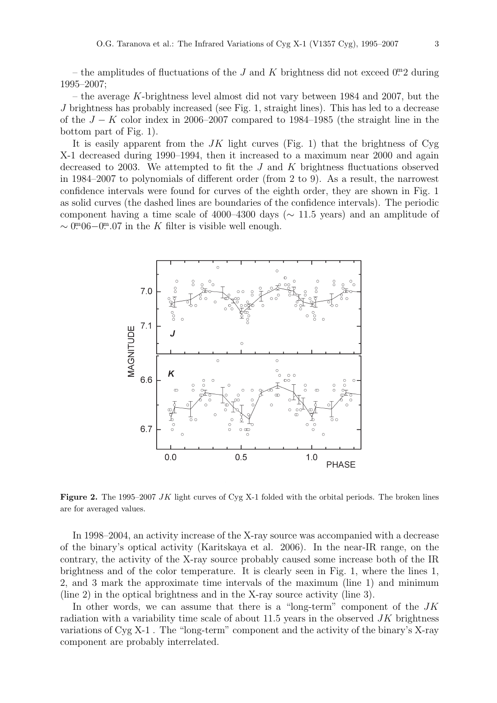– the amplitudes of fluctuations of the J and K brightness did not exceed  $0<sup>m</sup>2$  during 1995–2007;

– the average K-brightness level almost did not vary between 1984 and 2007, but the J brightness has probably increased (see Fig. 1, straight lines). This has led to a decrease of the  $J - K$  color index in 2006–2007 compared to 1984–1985 (the straight line in the bottom part of Fig. 1).

It is easily apparent from the JK light curves (Fig. 1) that the brightness of Cyg X-1 decreased during 1990–1994, then it increased to a maximum near 2000 and again decreased to 2003. We attempted to fit the J and K brightness fluctuations observed in 1984–2007 to polynomials of different order (from 2 to 9). As a result, the narrowest confidence intervals were found for curves of the eighth order, they are shown in Fig. 1 as solid curves (the dashed lines are boundaries of the confidence intervals). The periodic component having a time scale of 4000–4300 days ( $\sim$  11.5 years) and an amplitude of  $\sim 0^{m}06-0^{m}.07$  in the K filter is visible well enough.



Figure 2. The 1995–2007 JK light curves of Cyg X-1 folded with the orbital periods. The broken lines are for averaged values.

In 1998–2004, an activity increase of the X-ray source was accompanied with a decrease of the binary's optical activity (Karitskaya et al. 2006). In the near-IR range, on the contrary, the activity of the X-ray source probably caused some increase both of the IR brightness and of the color temperature. It is clearly seen in Fig. 1, where the lines 1, 2, and 3 mark the approximate time intervals of the maximum (line 1) and minimum (line 2) in the optical brightness and in the X-ray source activity (line 3).

In other words, we can assume that there is a "long-term" component of the  $JK$ radiation with a variability time scale of about  $11.5$  years in the observed  $JK$  brightness variations of Cyg X-1 . The "long-term" component and the activity of the binary's X-ray component are probably interrelated.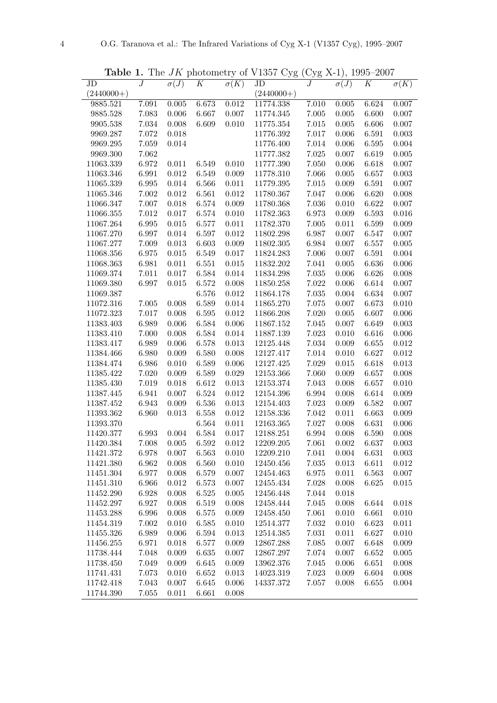Table 1. The  $JK$  photometry of V1357 Cyg (Cyg X-1), 1995–2007

| ταυισ        | T.               |             |           | The AIZ buoromen's or A root | vyg          | $\cup$ yg | $\Delta$ - $\perp$ ),<br>1990 | 2001             |             |
|--------------|------------------|-------------|-----------|------------------------------|--------------|-----------|-------------------------------|------------------|-------------|
| JD           | $\boldsymbol{J}$ | $\sigma(J)$ | K         | $\sigma(K)$                  | JD           | $\cal J$  | $\sigma(J)$                   | $\boldsymbol{K}$ | $\sigma(K)$ |
| $(2440000+)$ |                  |             |           |                              | $(2440000+)$ |           |                               |                  |             |
| 9885.521     | 7.091            | 0.005       | 6.673     | 0.012                        | 11774.338    | 7.010     | $0.005\,$                     | 6.624            | $0.007\,$   |
| 9885.528     | 7.083            | 0.006       | 6.667     | 0.007                        | 11774.345    | 7.005     | $0.005\,$                     | 6.600            | 0.007       |
| 9905.538     | $7.034\,$        | 0.008       | 6.609     | 0.010                        | 11775.354    | $7.015\,$ | $0.005\,$                     | 6.606            | 0.007       |
| 9969.287     | $7.072\,$        | 0.018       |           |                              | 11776.392    | 7.017     | 0.006                         | 6.591            | 0.003       |
| 9969.295     | $7.059\,$        | 0.014       |           |                              | 11776.400    | 7.014     | 0.006                         | 6.595            | 0.004       |
| 9969.300     | 7.062            |             |           |                              | 11777.382    | $7.025\,$ | $0.007\,$                     | 6.619            | $0.005\,$   |
| 11063.339    | 6.972            | 0.011       | 6.549     | 0.010                        | 11777.390    | 7.050     | $0.006\,$                     | 6.618            | 0.007       |
| 11063.346    | 6.991            | 0.012       | 6.549     | 0.009                        | 11778.310    | 7.066     | $0.005\,$                     | 6.657            | 0.003       |
| 11065.339    | 6.995            | 0.014       | 6.566     | 0.011                        | 11779.395    | 7.015     | $0.009\,$                     | 6.591            | 0.007       |
| 11065.346    | $7.002\,$        | 0.012       | 6.561     | 0.012                        | 11780.367    | 7.047     | $0.006\,$                     | 6.620            | 0.008       |
| 11066.347    | 7.007            | 0.018       | 6.574     | 0.009                        | 11780.368    | 7.036     | $0.010\,$                     | 6.622            | 0.007       |
| 11066.355    | 7.012            | 0.017       | 6.574     | 0.010                        | 11782.363    | 6.973     | 0.009                         | 6.593            | 0.016       |
| 11067.264    | 6.995            | $\,0.015\,$ | 6.577     | $0.011\,$                    | 11782.370    | 7.005     | 0.011                         | 6.599            | 0.009       |
| 11067.270    | 6.997            | 0.014       | 6.597     | 0.012                        | 11802.298    | 6.987     | 0.007                         | 6.547            | 0.007       |
| 11067.277    | 7.009            | 0.013       | 6.603     | 0.009                        | 11802.305    | 6.984     | 0.007                         | 6.557            | 0.005       |
| 11068.356    | 6.975            | 0.015       | 6.549     | 0.017                        | 11824.283    | 7.006     | 0.007                         | 6.591            | 0.004       |
| 11068.363    | 6.981            | 0.011       | 6.551     | 0.015                        | 11832.202    | 7.041     | $0.005\,$                     | 6.636            | 0.006       |
| 11069.374    | 7.011            | 0.017       | 6.584     | $0.014\,$                    | 11834.298    | 7.035     | $0.006\,$                     | 6.626            | 0.008       |
| 11069.380    | 6.997            | 0.015       | 6.572     | 0.008                        | 11850.258    | 7.022     | $0.006\,$                     | 6.614            | $0.007\,$   |
| 11069.387    |                  |             | 6.576     | $0.012\,$                    | 11864.178    | 7.035     | 0.004                         | 6.634            | 0.007       |
| 11072.316    | $7.005\,$        | 0.008       | 6.589     | $0.014\,$                    | 11865.270    | 7.075     | 0.007                         | 6.673            | 0.010       |
| 11072.323    | $7.017\,$        | 0.008       | 6.595     | $0.012\,$                    | 11866.208    | 7.020     | 0.005                         | 6.607            | 0.006       |
| 11383.403    | 6.989            | 0.006       | 6.584     | 0.006                        | 11867.152    | 7.045     | 0.007                         | 6.649            | 0.003       |
| 11383.410    | 7.000            | 0.008       | 6.584     | 0.014                        | 11887.139    | 7.023     | 0.010                         | 6.616            | 0.006       |
| 11383.417    | 6.989            | 0.006       | 6.578     | $\,0.013\,$                  | 12125.448    | 7.034     | $0.009\,$                     | 6.655            | 0.012       |
| 11384.466    | 6.980            | 0.009       | 6.580     | 0.008                        | 12127.417    | 7.014     | 0.010                         | 6.627            | 0.012       |
| 11384.474    | 6.986            | 0.010       | 6.589     | 0.006                        | 12127.425    | 7.029     | $\,0.015\,$                   | 6.618            | 0.013       |
| 11385.422    | 7.020            | 0.009       | 6.589     | 0.029                        | 12153.366    | 7.060     | 0.009                         | 6.657            | 0.008       |
| 11385.430    | $7.019\,$        | 0.018       | 6.612     | 0.013                        | 12153.374    | 7.043     | 0.008                         | 6.657            | 0.010       |
| 11387.445    | 6.941            | 0.007       | 6.524     | 0.012                        | 12154.396    | 6.994     | $0.008\,$                     | 6.614            | 0.009       |
| 11387.452    | 6.943            | 0.009       | 6.536     | 0.013                        | 12154.403    | 7.023     | 0.009                         | 6.582            | 0.007       |
| 11393.362    | 6.960            | 0.013       | 6.558     | 0.012                        | 12158.336    | 7.042     | 0.011                         | 6.663            | 0.009       |
| 11393.370    |                  |             | 6.564     | 0.011                        | 12163.365    | 7.027     | 0.008                         | 6.631            | 0.006       |
| 11420.377    | 6.993            | 0.004       | 6.584     | 0.017                        | 12188.251    | 6.994     | 0.008                         | 6.590            | 0.008       |
| 11420.384    | 7.008            | 0.005       | 6.592     | 0.012                        | 12209.205    | 7.061     | 0.002                         | 6.637            | 0.003       |
| 11421.372    | 6.978            | 0.007       | 6.563     | 0.010                        | 12209.210    | 7.041     | $0.004\,$                     | 6.631            | 0.003       |
| 11421.380    | 6.962            | 0.008       | 6.560     | 0.010                        | 12450.456    | 7.035     | 0.013                         | 6.611            | $\,0.012\,$ |
| 11451.304    | 6.977            | 0.008       | 6.579     | 0.007                        | 12454.463    | 6.975     | 0.011                         | 6.563            | 0.007       |
| 11451.310    | 6.966            | 0.012       | 6.573     | 0.007                        | 12455.434    | 7.028     | 0.008                         | 6.625            | 0.015       |
| 11452.290    | 6.928            | 0.008       | 6.525     | 0.005                        | 12456.448    | 7.044     | 0.018                         |                  |             |
| 11452.297    | 6.927            | 0.008       | 6.519     | 0.008                        | 12458.444    | 7.045     | 0.008                         | 6.644            | $0.018\,$   |
| 11453.288    | 6.996            | 0.008       | 6.575     | 0.009                        | 12458.450    | 7.061     | 0.010                         | 6.661            | 0.010       |
| 11454.319    | 7.002            | 0.010       | 6.585     | 0.010                        | 12514.377    | 7.032     | 0.010                         | 6.623            | 0.011       |
| 11455.326    | 6.989            | 0.006       | 6.594     | 0.013                        | 12514.385    | 7.031     | 0.011                         | 6.627            | 0.010       |
| 11456.255    | 6.971            | 0.018       | $6.577\,$ | 0.009                        | 12867.288    | 7.085     | 0.007                         | 6.648            | 0.009       |
| 11738.444    | 7.048            | 0.009       | 6.635     | 0.007                        | 12867.297    | 7.074     | 0.007                         | 6.652            | 0.005       |
| 11738.450    | 7.049            | 0.009       | 6.645     | 0.009                        | 13962.376    | 7.045     | 0.006                         | 6.651            | 0.008       |
| 11741.431    | 7.073            | 0.010       | 6.652     | 0.013                        | 14023.319    | 7.023     | 0.009                         | 6.604            | 0.008       |
| 11742.418    | 7.043            | 0.007       | 6.645     | 0.006                        | 14337.372    | 7.057     | 0.008                         | 6.655            | 0.004       |
| 11744.390    | 7.055            | 0.011       | 6.661     | 0.008                        |              |           |                               |                  |             |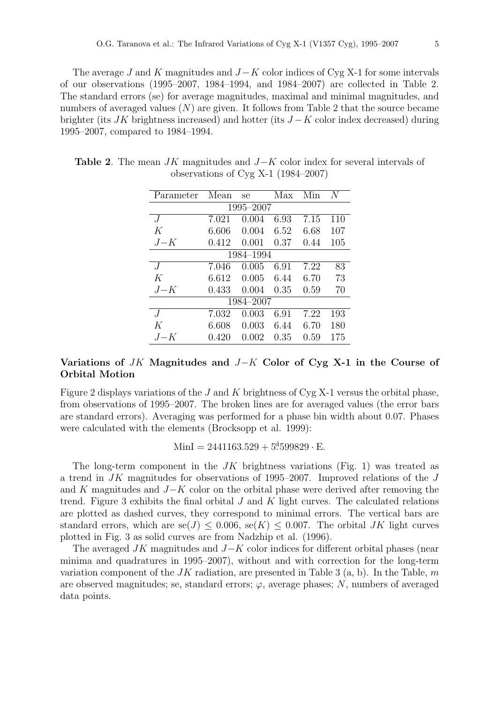The average J and K magnitudes and  $J - K$  color indices of Cyg X-1 for some intervals of our observations (1995–2007, 1984–1994, and 1984–2007) are collected in Table 2. The standard errors (se) for average magnitudes, maximal and minimal magnitudes, and numbers of averaged values  $(N)$  are given. It follows from Table 2 that the source became brighter (its  $JK$  brightness increased) and hotter (its  $J - K$  color index decreased) during 1995–2007, compared to 1984–1994.

| Parameter        | Mean  | se    | Max  | Min  | N   |  |  |  |  |  |
|------------------|-------|-------|------|------|-----|--|--|--|--|--|
| 1995-2007        |       |       |      |      |     |  |  |  |  |  |
| $\overline{J}$   | 7.021 | 0.004 | 6.93 | 7.15 | 110 |  |  |  |  |  |
| K                | 6.606 | 0.004 | 6.52 | 6.68 | 107 |  |  |  |  |  |
| $J-K$            | 0.412 | 0.001 | 0.37 | 0.44 | 105 |  |  |  |  |  |
| 1984–1994        |       |       |      |      |     |  |  |  |  |  |
| J                | 7.046 | 0.005 | 6.91 | 7.22 | 83  |  |  |  |  |  |
| K                | 6.612 | 0.005 | 6.44 | 6.70 | 73  |  |  |  |  |  |
| $J-K$            | 0.433 | 0.004 | 0.35 | 0.59 | 70  |  |  |  |  |  |
| 1984-2007        |       |       |      |      |     |  |  |  |  |  |
| $\cdot$ <i>I</i> | 7.032 | 0.003 | 6.91 | 7.22 | 193 |  |  |  |  |  |
| K                | 6.608 | 0.003 | 6.44 | 6.70 | 180 |  |  |  |  |  |
| $J-K$            | 0.420 | 0.002 | 0.35 | 0.59 | 175 |  |  |  |  |  |

Table 2. The mean  $JK$  magnitudes and  $J-K$  color index for several intervals of observations of Cyg X-1 (1984–2007)

### Variations of JK Magnitudes and J−K Color of Cyg X-1 in the Course of Orbital Motion

Figure 2 displays variations of the J and K brightness of Cyg X-1 versus the orbital phase, from observations of 1995–2007. The broken lines are for averaged values (the error bars are standard errors). Averaging was performed for a phase bin width about 0.07. Phases were calculated with the elements (Brocksopp et al. 1999):

 $MinI = 2441163.529 + 5.599829 \cdot E.$ 

The long-term component in the  $JK$  brightness variations (Fig. 1) was treated as a trend in  $JK$  magnitudes for observations of 1995–2007. Improved relations of the  $J$ and K magnitudes and  $J-K$  color on the orbital phase were derived after removing the trend. Figure 3 exhibits the final orbital  $J$  and  $K$  light curves. The calculated relations are plotted as dashed curves, they correspond to minimal errors. The vertical bars are standard errors, which are se(J) < 0.006, se(K) < 0.007. The orbital JK light curves plotted in Fig. 3 as solid curves are from Nadzhip et al. (1996).

The averaged  $JK$  magnitudes and  $J-K$  color indices for different orbital phases (near minima and quadratures in 1995–2007), without and with correction for the long-term variation component of the  $JK$  radiation, are presented in Table 3 (a, b). In the Table, m are observed magnitudes; se, standard errors;  $\varphi$ , average phases; N, numbers of averaged data points.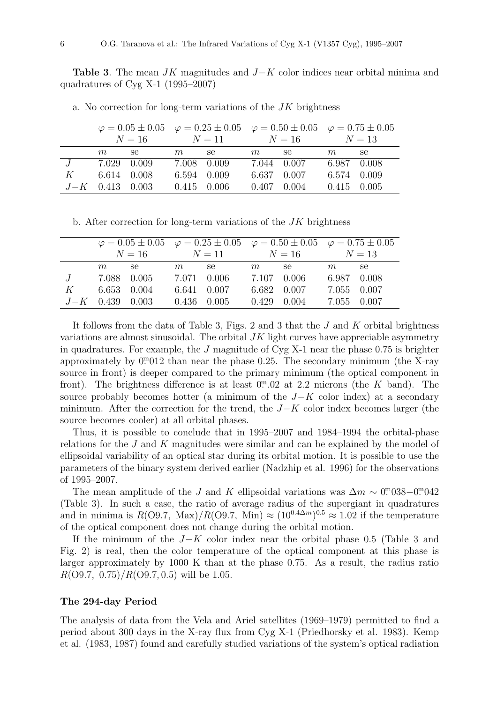**Table 3.** The mean  $JK$  magnitudes and  $J-K$  color indices near orbital minima and quadratures of Cyg X-1 (1995–2007)

|                         |                   |        | $\varphi = 0.05 \pm 0.05$ $\varphi = 0.25 \pm 0.05$ $\varphi = 0.50 \pm 0.05$ $\varphi = 0.75 \pm 0.05$ |        |        |                                                 |             |       |
|-------------------------|-------------------|--------|---------------------------------------------------------------------------------------------------------|--------|--------|-------------------------------------------------|-------------|-------|
|                         |                   |        | $N = 16$ $N = 11$ $N = 16$ $N = 13$                                                                     |        |        |                                                 |             |       |
|                         |                   | $m$ se |                                                                                                         | $m$ se | $m$ se |                                                 | m           | se se |
| $J = 7.029 \quad 0.009$ |                   |        | 7.008 0.009                                                                                             |        |        | 7.044 0.007 6.987 0.008                         |             |       |
| K                       | 6.614 0.008       |        | 6.594 0.009                                                                                             |        |        | 6.637 0.007                                     | 6.574 0.009 |       |
|                         | $J-K$ 0.413 0.003 |        |                                                                                                         |        |        | $0.415$ $0.006$ $0.407$ $0.004$ $0.415$ $0.005$ |             |       |

a. No correction for long-term variations of the  $JK$  brightness

b. After correction for long-term variations of the  $JK$  brightness

|         |                   |             | $\varphi = 0.05 \pm 0.05$ $\varphi = 0.25 \pm 0.05$ $\varphi = 0.50 \pm 0.05$ $\varphi = 0.75 \pm 0.05$ |                                                                                                                                                                                                                                |                 |             |             |       |
|---------|-------------------|-------------|---------------------------------------------------------------------------------------------------------|--------------------------------------------------------------------------------------------------------------------------------------------------------------------------------------------------------------------------------|-----------------|-------------|-------------|-------|
|         |                   |             | $N = 16$ $N = 11$ $N = 16$ $N = 13$                                                                     |                                                                                                                                                                                                                                |                 |             |             |       |
|         | m                 | se          | m                                                                                                       | se to the set of the set of the set of the set of the set of the set of the set of the set of the set of the set of the set of the set of the set of the set of the set of the set of the set of the set of the set of the set | $m$ se          |             | m           | se se |
| J       | 7.088 0.005       |             |                                                                                                         | 7.071 0.006                                                                                                                                                                                                                    | 7.107 0.006     |             | 6.987 0.008 |       |
| $K_{-}$ |                   | 6.653 0.004 |                                                                                                         | 6.641 0.007                                                                                                                                                                                                                    |                 | 6.682 0.007 | 7.055 0.007 |       |
|         | $J-K$ 0.439 0.003 |             |                                                                                                         | $0.436$ $0.005$                                                                                                                                                                                                                | $0.429$ $0.004$ |             | 7.055 0.007 |       |

It follows from the data of Table 3, Figs. 2 and 3 that the  $J$  and  $K$  orbital brightness variations are almost sinusoidal. The orbital  $JK$  light curves have appreciable asymmetry in quadratures. For example, the  $J$  magnitude of Cyg X-1 near the phase 0.75 is brighter approximately by  $0^{m}012$  than near the phase 0.25. The secondary minimum (the X-ray source in front) is deeper compared to the primary minimum (the optical component in front). The brightness difference is at least  $0^{\text{m}}.02$  at 2.2 microns (the K band). The source probably becomes hotter (a minimum of the  $J-K$  color index) at a secondary minimum. After the correction for the trend, the  $J-K$  color index becomes larger (the source becomes cooler) at all orbital phases.

Thus, it is possible to conclude that in 1995–2007 and 1984–1994 the orbital-phase relations for the J and K magnitudes were similar and can be explained by the model of ellipsoidal variability of an optical star during its orbital motion. It is possible to use the parameters of the binary system derived earlier (Nadzhip et al. 1996) for the observations of 1995–2007.

The mean amplitude of the J and K ellipsoidal variations was  $\Delta m \sim 0$ <sup>m</sup>038–0<sup>m</sup>042 (Table 3). In such a case, the ratio of average radius of the supergiant in quadratures and in minima is  $R(\text{O}9.7, \text{ Max})/R(\text{O}9.7, \text{ Min}) \approx (10^{0.4\Delta m})^{0.5} \approx 1.02$  if the temperature of the optical component does not change during the orbital motion.

If the minimum of the  $J-K$  color index near the orbital phase 0.5 (Table 3 and Fig. 2) is real, then the color temperature of the optical component at this phase is larger approximately by 1000 K than at the phase 0.75. As a result, the radius ratio  $R(O9.7, 0.75)/R(O9.7, 0.5)$  will be 1.05.

### The 294-day Period

The analysis of data from the Vela and Ariel satellites (1969–1979) permitted to find a period about 300 days in the X-ray flux from Cyg X-1 (Priedhorsky et al. 1983). Kemp et al. (1983, 1987) found and carefully studied variations of the system's optical radiation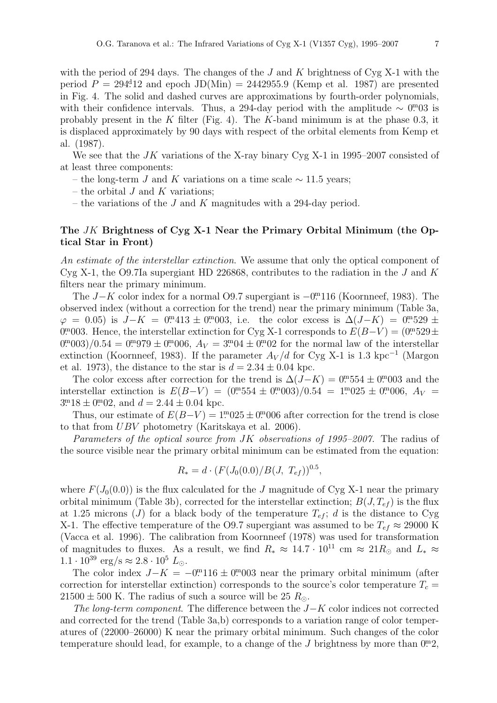with the period of 294 days. The changes of the  $J$  and  $K$  brightness of Cyg X-1 with the period  $P = 294.12$  and epoch  $JD(Min) = 2442955.9$  (Kemp et al. 1987) are presented in Fig. 4. The solid and dashed curves are approximations by fourth-order polynomials, with their confidence intervals. Thus, a 294-day period with the amplitude  $\sim 0^{m}03$  is probably present in the K filter (Fig. 4). The K-band minimum is at the phase 0.3, it is displaced approximately by 90 days with respect of the orbital elements from Kemp et al. (1987).

We see that the  $JK$  variations of the X-ray binary Cyg X-1 in 1995–2007 consisted of at least three components:

- the long-term J and K variations on a time scale  $\sim$  11.5 years;
- the orbital  $J$  and  $K$  variations;
- the variations of the J and K magnitudes with a 294-day period.

## The JK Brightness of Cyg X-1 Near the Primary Orbital Minimum (the Optical Star in Front)

An estimate of the interstellar extinction. We assume that only the optical component of Cyg X-1, the O9.7Ia supergiant HD 226868, contributes to the radiation in the J and K filters near the primary minimum.

The  $J-K$  color index for a normal O9.7 supergiant is  $-0^{\text{m}}116$  (Koornneef, 1983). The observed index (without a correction for the trend) near the primary minimum (Table 3a,  $\varphi = 0.05$ ) is  $J - K = 0^{m}413 \pm 0^{m}003$ , i.e. the color excess is  $\Delta(J - K) = 0^{m}529 \pm 0.05$ 0<sup>m</sup>003. Hence, the interstellar extinction for Cyg X-1 corresponds to  $E(B-V) = (0.929 \pm 0.003)$  $0^{m}003)/0.54 = 0^{m}979 \pm 0^{m}006$ ,  $A_V = 3^{m}04 \pm 0^{m}02$  for the normal law of the interstellar extinction (Koornneef, 1983). If the parameter  $A_V/d$  for Cyg X-1 is 1.3 kpc<sup>-1</sup> (Margon et al. 1973), the distance to the star is  $d = 2.34 \pm 0.04$  kpc.

The color excess after correction for the trend is  $\Delta(J-K) = 0.0554 \pm 0.0003$  and the interstellar extinction is  $E(B-V) = (0.0054 \pm 0.0003)/0.54 = 1.0025 \pm 0.0006, A<sub>V</sub> =$  $3^{m}18 \pm 0^{m}02$ , and  $d = 2.44 \pm 0.04$  kpc.

Thus, our estimate of  $E(B-V) = 1^{m}025 \pm 0^{m}006$  after correction for the trend is close to that from UBV photometry (Karitskaya et al. 2006).

Parameters of the optical source from JK observations of 1995–2007. The radius of the source visible near the primary orbital minimum can be estimated from the equation:

$$
R_* = d \cdot (F(J_0(0.0)/B(J, T_{ef}))^{0.5},
$$

where  $F(J_0(0.0))$  is the flux calculated for the J magnitude of Cyg X-1 near the primary orbital minimum (Table 3b), corrected for the interstellar extinction;  $B(J, T_{ef})$  is the flux at 1.25 microns (J) for a black body of the temperature  $T_{ef}$ ; d is the distance to Cyg X-1. The effective temperature of the O9.7 supergiant was assumed to be  $T_{ef} \approx 29000 \text{ K}$ (Vacca et al. 1996). The calibration from Koornneef (1978) was used for transformation of magnitudes to fluxes. As a result, we find  $R_* \approx 14.7 \cdot 10^{11}$  cm  $\approx 21 R_{\odot}$  and  $L_* \approx$  $1.1 \cdot 10^{39} \text{ erg/s} \approx 2.8 \cdot 10^5 L_{\odot}.$ 

The color index  $J-K = -0.00116 \pm 0.0003$  near the primary orbital minimum (after correction for interstellar extinction) corresponds to the source's color temperature  $T_c$  =  $21500 \pm 500$  K. The radius of such a source will be 25  $R_{\odot}$ .

The long-term component. The difference between the  $J-K$  color indices not corrected and corrected for the trend (Table 3a,b) corresponds to a variation range of color temperatures of (22000–26000) K near the primary orbital minimum. Such changes of the color temperature should lead, for example, to a change of the  $J$  brightness by more than  $0<sup>m</sup>2$ ,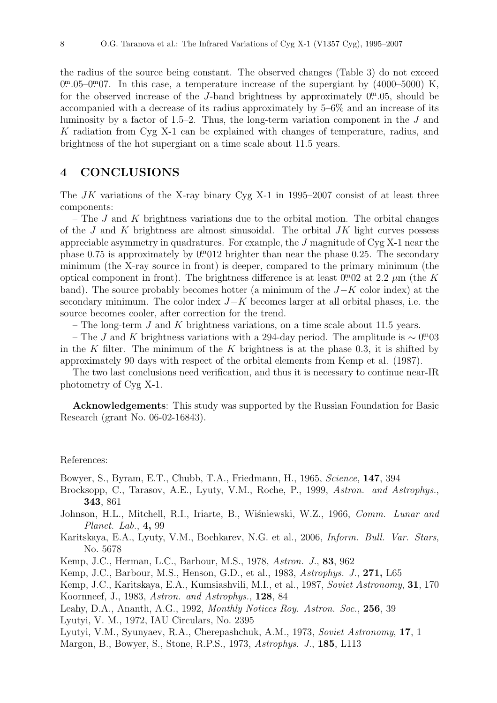the radius of the source being constant. The observed changes (Table 3) do not exceed  $0^{\text{m}}.05-0^{\text{m}}.07$ . In this case, a temperature increase of the supergiant by  $(4000-5000)$  K, for the observed increase of the J-band brightness by approximately  $0^{\text{m}}.05$ , should be accompanied with a decrease of its radius approximately by 5–6% and an increase of its luminosity by a factor of 1.5–2. Thus, the long-term variation component in the  $J$  and K radiation from Cyg X-1 can be explained with changes of temperature, radius, and brightness of the hot supergiant on a time scale about 11.5 years.

# 4 CONCLUSIONS

The  $JK$  variations of the X-ray binary Cyg X-1 in 1995–2007 consist of at least three components:

– The J and K brightness variations due to the orbital motion. The orbital changes of the  $J$  and  $K$  brightness are almost sinusoidal. The orbital  $JK$  light curves possess appreciable asymmetry in quadratures. For example, the J magnitude of Cyg X-1 near the phase  $0.75$  is approximately by  $0.0012$  brighter than near the phase  $0.25$ . The secondary minimum (the X-ray source in front) is deeper, compared to the primary minimum (the optical component in front). The brightness difference is at least  $0.02$  at 2.2  $\mu$ m (the K band). The source probably becomes hotter (a minimum of the  $J-K$  color index) at the secondary minimum. The color index  $J-K$  becomes larger at all orbital phases, i.e. the source becomes cooler, after correction for the trend.

– The long-term  $J$  and  $K$  brightness variations, on a time scale about 11.5 years.

– The J and K brightness variations with a 294-day period. The amplitude is  $\sim 0^{m}03$ in the K filter. The minimum of the K brightness is at the phase 0.3, it is shifted by approximately 90 days with respect of the orbital elements from Kemp et al. (1987).

The two last conclusions need verification, and thus it is necessary to continue near-IR photometry of Cyg X-1.

Acknowledgements: This study was supported by the Russian Foundation for Basic Research (grant No. 06-02-16843).

### References:

Bowyer, S., Byram, E.T., Chubb, T.A., Friedmann, H., 1965, Science, 147, 394

- Brocksopp, C., Tarasov, A.E., Lyuty, V.M., Roche, P., 1999, Astron. and Astrophys., 343, 861
- Johnson, H.L., Mitchell, R.I., Iriarte, B., Wiśniewski, W.Z., 1966, Comm. Lunar and Planet. Lab., 4, 99
- Karitskaya, E.A., Lyuty, V.M., Bochkarev, N.G. et al., 2006, Inform. Bull. Var. Stars, No. 5678
- Kemp, J.C., Herman, L.C., Barbour, M.S., 1978, Astron. J., 83, 962
- Kemp, J.C., Barbour, M.S., Henson, G.D., et al., 1983, Astrophys. J., 271, L65

Kemp, J.C., Karitskaya, E.A., Kumsiashvili, M.I., et al., 1987, Soviet Astronomy, 31, 170 Koornneef, J., 1983, Astron. and Astrophys., 128, 84

- Leahy, D.A., Ananth, A.G., 1992, Monthly Notices Roy. Astron. Soc., 256, 39
- Lyutyi, V. M., 1972, IAU Circulars, No. 2395

Lyutyi, V.M., Syunyaev, R.A., Cherepashchuk, A.M., 1973, Soviet Astronomy, 17, 1 Margon, B., Bowyer, S., Stone, R.P.S., 1973, Astrophys. J., 185, L113